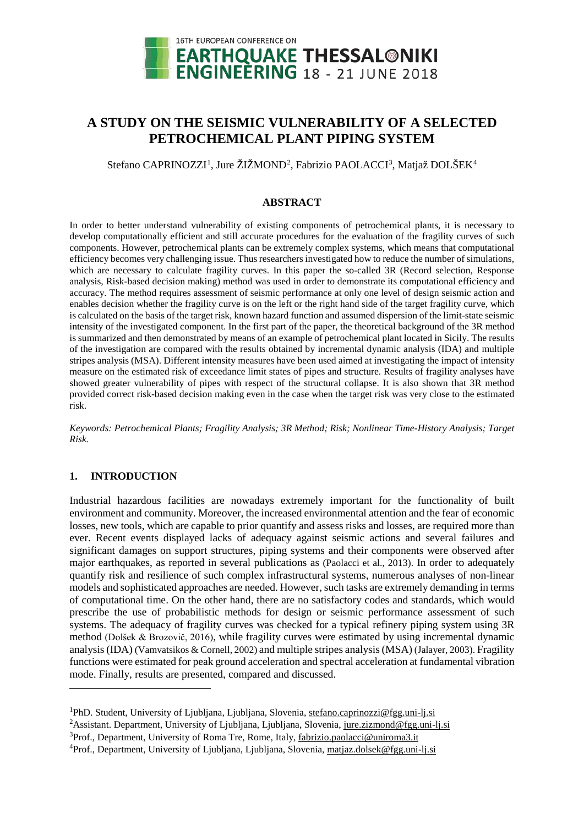

# **A STUDY ON THE SEISMIC VULNERABILITY OF A SELECTED PETROCHEMICAL PLANT PIPING SYSTEM**

Stefano CAPRINOZZI<sup>[1](#page-0-0)</sup>, Jure ŽIŽMOND<sup>[2](#page-0-1)</sup>, Fabrizio PAOLACCI<sup>[3](#page-0-2)</sup>, Matjaž DOLŠEK<sup>[4](#page-0-3)</sup>

# **ABSTRACT**

In order to better understand vulnerability of existing components of petrochemical plants, it is necessary to develop computationally efficient and still accurate procedures for the evaluation of the fragility curves of such components. However, petrochemical plants can be extremely complex systems, which means that computational efficiency becomes very challenging issue. Thus researchers investigated how to reduce the number of simulations, which are necessary to calculate fragility curves. In this paper the so-called 3R (Record selection, Response analysis, Risk-based decision making) method was used in order to demonstrate its computational efficiency and accuracy. The method requires assessment of seismic performance at only one level of design seismic action and enables decision whether the fragility curve is on the left or the right hand side of the target fragility curve, which is calculated on the basis of the target risk, known hazard function and assumed dispersion of the limit-state seismic intensity of the investigated component. In the first part of the paper, the theoretical background of the 3R method is summarized and then demonstrated by means of an example of petrochemical plant located in Sicily. The results of the investigation are compared with the results obtained by incremental dynamic analysis (IDA) and multiple stripes analysis (MSA). Different intensity measures have been used aimed at investigating the impact of intensity measure on the estimated risk of exceedance limit states of pipes and structure. Results of fragility analyses have showed greater vulnerability of pipes with respect of the structural collapse. It is also shown that 3R method provided correct risk-based decision making even in the case when the target risk was very close to the estimated risk.

*Keywords: Petrochemical Plants; Fragility Analysis; 3R Method; Risk; Nonlinear Time-History Analysis; Target Risk.*

# **1. INTRODUCTION**

<u>.</u>

Industrial hazardous facilities are nowadays extremely important for the functionality of built environment and community. Moreover, the increased environmental attention and the fear of economic losses, new tools, which are capable to prior quantify and assess risks and losses, are required more than ever. Recent events displayed lacks of adequacy against seismic actions and several failures and significant damages on support structures, piping systems and their components were observed after major earthquakes, as reported in several publications as (Paolacci et al., 2013). In order to adequately quantify risk and resilience of such complex infrastructural systems, numerous analyses of non-linear models and sophisticated approaches are needed. However, such tasks are extremely demanding in terms of computational time. On the other hand, there are no satisfactory codes and standards, which would prescribe the use of probabilistic methods for design or seismic performance assessment of such systems. The adequacy of fragility curves was checked for a typical refinery piping system using 3R method (Dolšek & Brozovič, 2016), while fragility curves were estimated by using incremental dynamic analysis(IDA) (Vamvatsikos & Cornell, 2002) and multiple stripes analysis(MSA) (Jalayer, 2003). Fragility functions were estimated for peak ground acceleration and spectral acceleration at fundamental vibration mode. Finally, results are presented, compared and discussed.

<span id="page-0-0"></span><sup>&</sup>lt;sup>1</sup>PhD. Student, University of Ljubljana, Ljubljana, Slovenia, [stefano.capri](mailto:stefano.capr)nozzi@fgg.uni-lj.si

<span id="page-0-1"></span><sup>&</sup>lt;sup>2</sup> Assistant. Department, University of Ljubljana, Ljubljana, Slovenia, jure.zizmond@fgg.uni-lj.si

<span id="page-0-2"></span><sup>&</sup>lt;sup>3</sup>Prof., Department, University of Roma Tre, Rome, Italy, fabrizio.paolacci@uniroma3.it

<span id="page-0-3"></span><sup>&</sup>lt;sup>4</sup>Prof., Department, University of Ljubljana, Ljubljana, Slovenia, matjaz.dolsek@fgg.uni-lj.si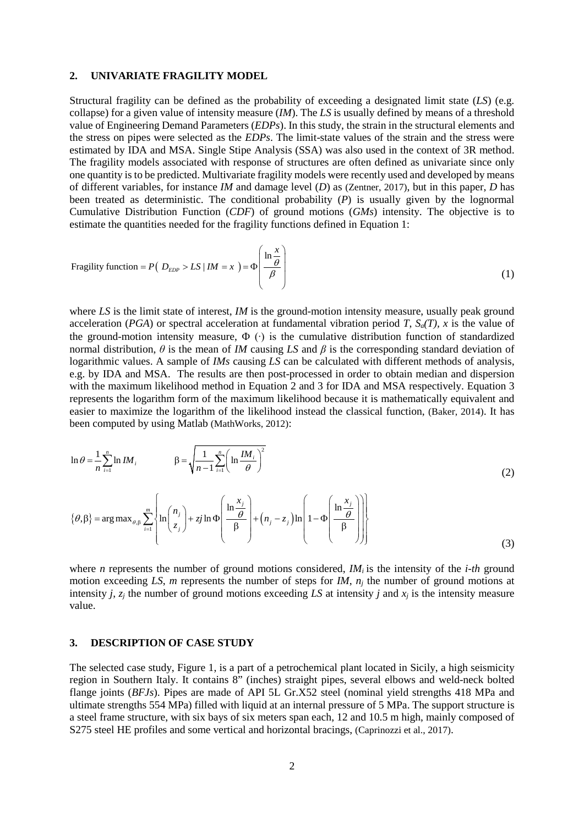# **2. UNIVARIATE FRAGILITY MODEL**

Structural fragility can be defined as the probability of exceeding a designated limit state (*LS*) (e.g. collapse) for a given value of intensity measure (*IM*). The *LS* is usually defined by means of a threshold value of Engineering Demand Parameters (*EDPs*). In this study, the strain in the structural elements and the stress on pipes were selected as the *EDPs*. The limit-state values of the strain and the stress were estimated by IDA and MSA. Single Stipe Analysis (SSA) was also used in the context of 3R method. The fragility models associated with response of structures are often defined as univariate since only one quantity is to be predicted. Multivariate fragility models were recently used and developed by means of different variables, for instance *IM* and damage level (*D*) as (Zentner, 2017), but in this paper, *D* has been treated as deterministic. The conditional probability (*P*) is usually given by the lognormal Cumulative Distribution Function (*CDF*) of ground motions (*GMs*) intensity. The objective is to estimate the quantities needed for the fragility functions defined in Equation 1:

Fragility function = 
$$
P(D_{EDP} > LS \mid IM = x) = \Phi\left(\frac{\ln \frac{x}{\theta}}{\beta}\right)
$$
 (1)

where *LS* is the limit state of interest, *IM* is the ground-motion intensity measure, usually peak ground acceleration (*PGA*) or spectral acceleration at fundamental vibration period *T*,  $S_d(T)$ , *x* is the value of the ground-motion intensity measure,  $\Phi$  ( $\cdot$ ) is the cumulative distribution function of standardized normal distribution,  $\theta$  is the mean of *IM* causing *LS* and  $\beta$  is the corresponding standard deviation of logarithmic values. A sample of *IMs* causing *LS* can be calculated with different methods of analysis, e.g. by IDA and MSA. The results are then post-processed in order to obtain median and dispersion with the maximum likelihood method in Equation 2 and 3 for IDA and MSA respectively. Equation 3 represents the logarithm form of the maximum likelihood because it is mathematically equivalent and easier to maximize the logarithm of the likelihood instead the classical function, (Baker, 2014). It has been computed by using Matlab (MathWorks, 2012):

$$
\ln \theta = \frac{1}{n} \sum_{i=1}^{n} \ln IM_i \qquad \beta = \sqrt{\frac{1}{n-1} \sum_{i=1}^{n} \left( \ln \frac{IM_i}{\theta} \right)^2}
$$
(2)

$$
\{\theta, \beta\} = \arg \max_{\theta, \beta} \sum_{i=1}^{m} \left\{ \ln \left( \frac{n_i}{z_i} \right) + zj \ln \Phi \left( \frac{\ln \frac{x_j}{\theta}}{\beta} \right) + \left( n_j - z_j \right) \ln \left( 1 - \Phi \left( \frac{\ln \frac{x_j}{\theta}}{\beta} \right) \right) \right\}
$$
(3)

where *n* represents the number of ground motions considered,  $M_i$  is the intensity of the *i-th* ground motion exceeding *LS*, *m* represents the number of steps for *IM*,  $n_i$  the number of ground motions at intensity *j*,  $z_i$  the number of ground motions exceeding *LS* at intensity *j* and  $x_i$  is the intensity measure value.

# **3. DESCRIPTION OF CASE STUDY**

The selected case study, Figure 1, is a part of a petrochemical plant located in Sicily, a high seismicity region in Southern Italy. It contains 8" (inches) straight pipes, several elbows and weld-neck bolted flange joints (*BFJs*). Pipes are made of API 5L Gr.X52 steel (nominal yield strengths 418 MPa and ultimate strengths 554 MPa) filled with liquid at an internal pressure of 5 MPa. The support structure is a steel frame structure, with six bays of six meters span each, 12 and 10.5 m high, mainly composed of S275 steel HE profiles and some vertical and horizontal bracings, (Caprinozzi et al., 2017).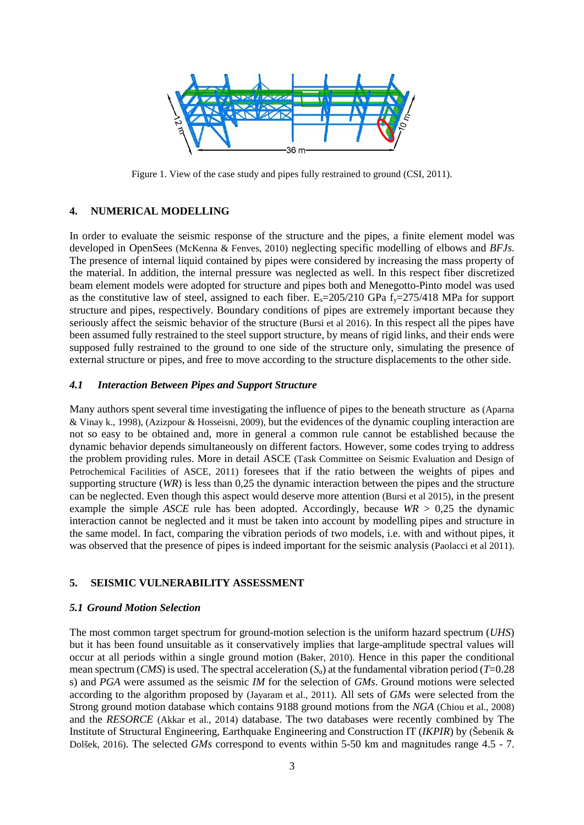

Figure 1. View of the case study and pipes fully restrained to ground (CSI, 2011).

# **4. NUMERICAL MODELLING**

In order to evaluate the seismic response of the structure and the pipes, a finite element model was developed in OpenSees (McKenna & Fenves, 2010) neglecting specific modelling of elbows and *BFJs*. The presence of internal liquid contained by pipes were considered by increasing the mass property of the material. In addition, the internal pressure was neglected as well. In this respect fiber discretized beam element models were adopted for structure and pipes both and Menegotto-Pinto model was used as the constitutive law of steel, assigned to each fiber.  $E_s = 205/210$  GPa  $f_y = 275/418$  MPa for support structure and pipes, respectively. Boundary conditions of pipes are extremely important because they seriously affect the seismic behavior of the structure (Bursi et al 2016). In this respect all the pipes have been assumed fully restrained to the steel support structure, by means of rigid links, and their ends were supposed fully restrained to the ground to one side of the structure only, simulating the presence of external structure or pipes, and free to move according to the structure displacements to the other side.

### *4.1 Interaction Between Pipes and Support Structure*

Many authors spent several time investigating the influence of pipes to the beneath structure as (Aparna & Vinay k., 1998), (Azizpour & Hosseisni, 2009), but the evidences of the dynamic coupling interaction are not so easy to be obtained and, more in general a common rule cannot be established because the dynamic behavior depends simultaneously on different factors. However, some codes trying to address the problem providing rules. More in detail ASCE (Task Committee on Seismic Evaluation and Design of Petrochemical Facilities of ASCE, 2011) foresees that if the ratio between the weights of pipes and supporting structure (*WR*) is less than 0,25 the dynamic interaction between the pipes and the structure can be neglected. Even though this aspect would deserve more attention (Bursi et al 2015), in the present example the simple *ASCE* rule has been adopted. Accordingly, because  $WR > 0.25$  the dynamic interaction cannot be neglected and it must be taken into account by modelling pipes and structure in the same model. In fact, comparing the vibration periods of two models, i.e. with and without pipes, it was observed that the presence of pipes is indeed important for the seismic analysis (Paolacci et al 2011).

# **5. SEISMIC VULNERABILITY ASSESSMENT**

### *5.1 Ground Motion Selection*

The most common target spectrum for ground-motion selection is the uniform hazard spectrum (*UHS*) but it has been found unsuitable as it conservatively implies that large-amplitude spectral values will occur at all periods within a single ground motion (Baker, 2010). Hence in this paper the conditional mean spectrum (*CMS*) is used. The spectral acceleration  $(S_a)$  at the fundamental vibration period (*T*=0.28) s) and *PGA* were assumed as the seismic *IM* for the selection of *GMs*. Ground motions were selected according to the algorithm proposed by (Jayaram et al., 2011). All sets of *GMs* were selected from the Strong ground motion database which contains 9188 ground motions from the *NGA* (Chiou et al., 2008) and the *RESORCE* (Akkar et al., 2014) database. The two databases were recently combined by The Institute of Structural Engineering, Earthquake Engineering and Construction IT (*IKPIR*) by (Šebenik & Dolšek, 2016). The selected *GMs* correspond to events within 5-50 km and magnitudes range 4.5 - 7.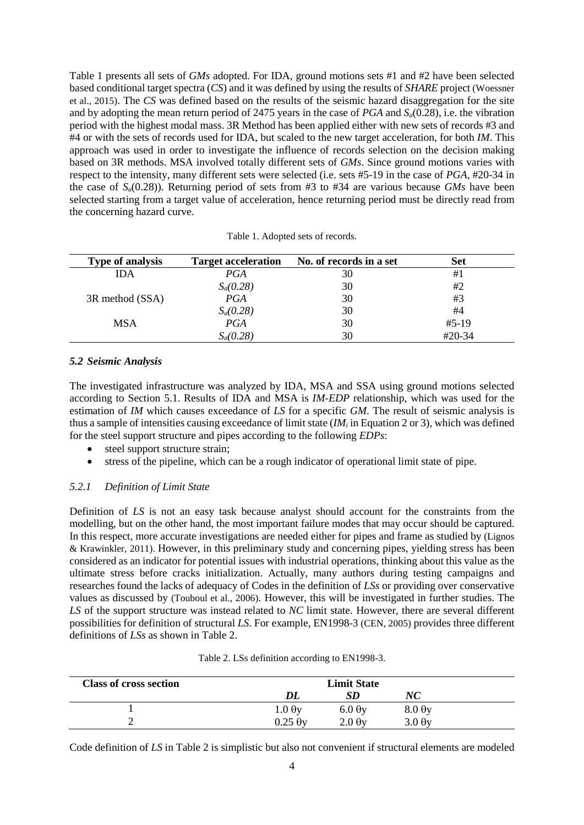Table 1 presents all sets of *GMs* adopted. For IDA, ground motions sets #1 and #2 have been selected based conditional target spectra (*CS*) and it was defined by using the results of *SHARE* project (Woessner et al., 2015). The *CS* was defined based on the results of the seismic hazard disaggregation for the site and by adopting the mean return period of 2475 years in the case of *PGA* and *Sa*(0.28), i.e. the vibration period with the highest modal mass. 3R Method has been applied either with new sets of records #3 and #4 or with the sets of records used for IDA, but scaled to the new target acceleration, for both *IM*. This approach was used in order to investigate the influence of records selection on the decision making based on 3R methods. MSA involved totally different sets of *GMs*. Since ground motions varies with respect to the intensity, many different sets were selected (i.e. sets #5-19 in the case of *PGA*, #20-34 in the case of *Sa*(0.28)). Returning period of sets from #3 to #34 are various because *GMs* have been selected starting from a target value of acceleration, hence returning period must be directly read from the concerning hazard curve.

|  | Table 1. Adopted sets of records. |  |  |
|--|-----------------------------------|--|--|
|--|-----------------------------------|--|--|

| <b>Type of analysis</b> | <b>Target acceleration</b> | No. of records in a set | Set     |
|-------------------------|----------------------------|-------------------------|---------|
| IDA                     | PGA                        | 30                      | #1      |
|                         | $S_a(0.28)$                | 30                      | #2      |
| 3R method (SSA)         | PGA                        | 30                      | #3      |
|                         | $S_a(0.28)$                | 30                      | #4      |
| <b>MSA</b>              | PGA                        | 30                      | $#5-19$ |
|                         | $S_a(0.28)$                | 30                      | #20-34  |

# *5.2 Seismic Analysis*

The investigated infrastructure was analyzed by IDA, MSA and SSA using ground motions selected according to Section 5.1. Results of IDA and MSA is *IM-EDP* relationship, which was used for the estimation of *IM* which causes exceedance of *LS* for a specific *GM*. The result of seismic analysis is thus a sample of intensities causing exceedance of limit state (*IM<sub>i</sub>* in Equation 2 or 3), which was defined for the steel support structure and pipes according to the following *EDPs*:

- steel support structure strain:
- stress of the pipeline, which can be a rough indicator of operational limit state of pipe.

### *5.2.1 Definition of Limit State*

Definition of *LS* is not an easy task because analyst should account for the constraints from the modelling, but on the other hand, the most important failure modes that may occur should be captured. In this respect, more accurate investigations are needed either for pipes and frame as studied by (Lignos & Krawinkler, 2011). However, in this preliminary study and concerning pipes, yielding stress has been considered as an indicator for potential issues with industrial operations, thinking about this value as the ultimate stress before cracks initialization. Actually, many authors during testing campaigns and researches found the lacks of adequacy of Codes in the definition of *LSs* or providing over conservative values as discussed by (Touboul et al., 2006). However, this will be investigated in further studies. The *LS* of the support structure was instead related to *NC* limit state. However, there are several different possibilities for definition of structural *LS*. For example, EN1998-3 (CEN, 2005) provides three different definitions of *LSs* as shown in Table 2.

| <b>Class of cross section</b> |                   | <b>Limit State</b>        |                           |
|-------------------------------|-------------------|---------------------------|---------------------------|
|                               |                   |                           | NC                        |
|                               | $1.0 \Theta y$    | $6.0 \,\mathrm{\theta y}$ | $8.0 \theta y$            |
|                               | $0.25 \ \theta$ y | $2.0 \,\mathrm{\theta y}$ | $3.0 \,\mathrm{\theta y}$ |

|  | Table 2. LSs definition according to EN1998-3. |
|--|------------------------------------------------|
|--|------------------------------------------------|

Code definition of *LS* in Table 2 is simplistic but also not convenient if structural elements are modeled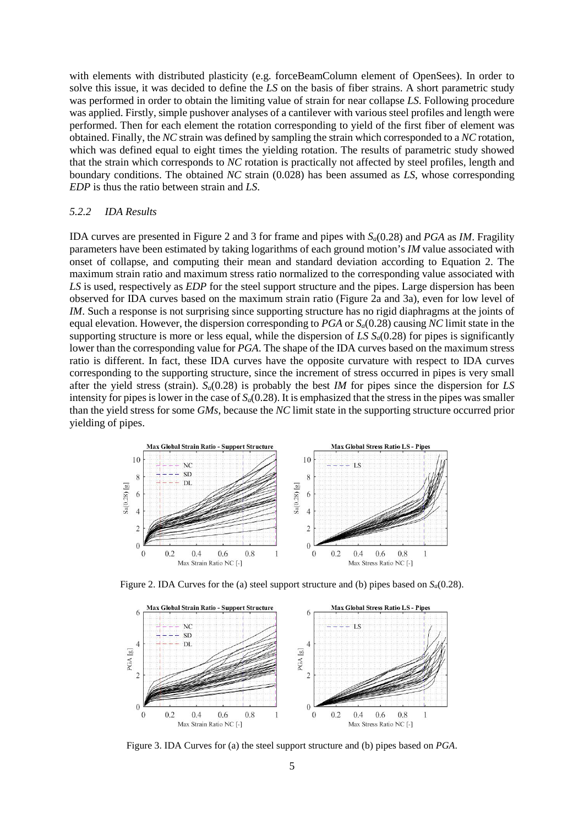with elements with distributed plasticity (e.g. forceBeamColumn element of OpenSees). In order to solve this issue, it was decided to define the *LS* on the basis of fiber strains. A short parametric study was performed in order to obtain the limiting value of strain for near collapse *LS*. Following procedure was applied. Firstly, simple pushover analyses of a cantilever with various steel profiles and length were performed. Then for each element the rotation corresponding to yield of the first fiber of element was obtained. Finally, the *NC* strain was defined by sampling the strain which corresponded to a *NC* rotation, which was defined equal to eight times the yielding rotation. The results of parametric study showed that the strain which corresponds to *NC* rotation is practically not affected by steel profiles, length and boundary conditions. The obtained *NC* strain (0.028) has been assumed as *LS*, whose corresponding *EDP* is thus the ratio between strain and *LS*.

#### *5.2.2 IDA Results*

IDA curves are presented in Figure 2 and 3 for frame and pipes with *Sa*(0.28) and *PGA* as *IM*. Fragility parameters have been estimated by taking logarithms of each ground motion's *IM* value associated with onset of collapse, and computing their mean and standard deviation according to Equation 2. The maximum strain ratio and maximum stress ratio normalized to the corresponding value associated with *LS* is used, respectively as *EDP* for the steel support structure and the pipes. Large dispersion has been observed for IDA curves based on the maximum strain ratio (Figure 2a and 3a), even for low level of *IM*. Such a response is not surprising since supporting structure has no rigid diaphragms at the joints of equal elevation. However, the dispersion corresponding to *PGA* or *Sa*(0.28) causing *NC* limit state in the supporting structure is more or less equal, while the dispersion of *LS*  $S_a(0.28)$  for pipes is significantly lower than the corresponding value for *PGA*. The shape of the IDA curves based on the maximum stress ratio is different. In fact, these IDA curves have the opposite curvature with respect to IDA curves corresponding to the supporting structure, since the increment of stress occurred in pipes is very small after the yield stress (strain). *Sa*(0.28) is probably the best *IM* for pipes since the dispersion for *LS* intensity for pipes is lower in the case of  $S_d(0.28)$ . It is emphasized that the stress in the pipes was smaller than the yield stress for some *GMs*, because the *NC* limit state in the supporting structure occurred prior yielding of pipes.



Figure 2. IDA Curves for the (a) steel support structure and (b) pipes based on *Sa*(0.28).



Figure 3. IDA Curves for (a) the steel support structure and (b) pipes based on *PGA*.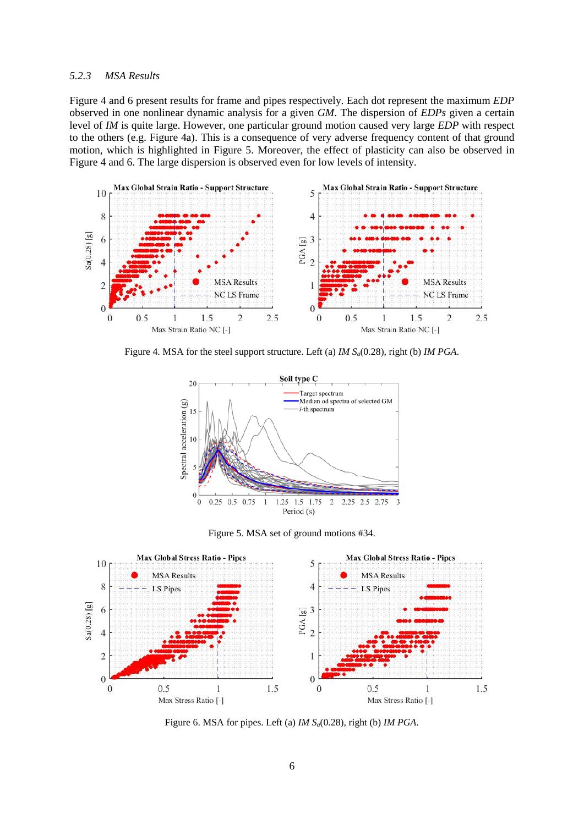# *5.2.3 MSA Results*

Figure 4 and 6 present results for frame and pipes respectively. Each dot represent the maximum *EDP* observed in one nonlinear dynamic analysis for a given *GM*. The dispersion of *EDPs* given a certain level of *IM* is quite large. However, one particular ground motion caused very large *EDP* with respect to the others (e.g. Figure 4a). This is a consequence of very adverse frequency content of that ground motion, which is highlighted in Figure 5. Moreover, the effect of plasticity can also be observed in Figure 4 and 6. The large dispersion is observed even for low levels of intensity.



Figure 4. MSA for the steel support structure. Left (a) *IM Sa*(0.28), right (b) *IM PGA*.



Figure 5. MSA set of ground motions #34.



Figure 6. MSA for pipes. Left (a) *IM Sa*(0.28), right (b) *IM PGA*.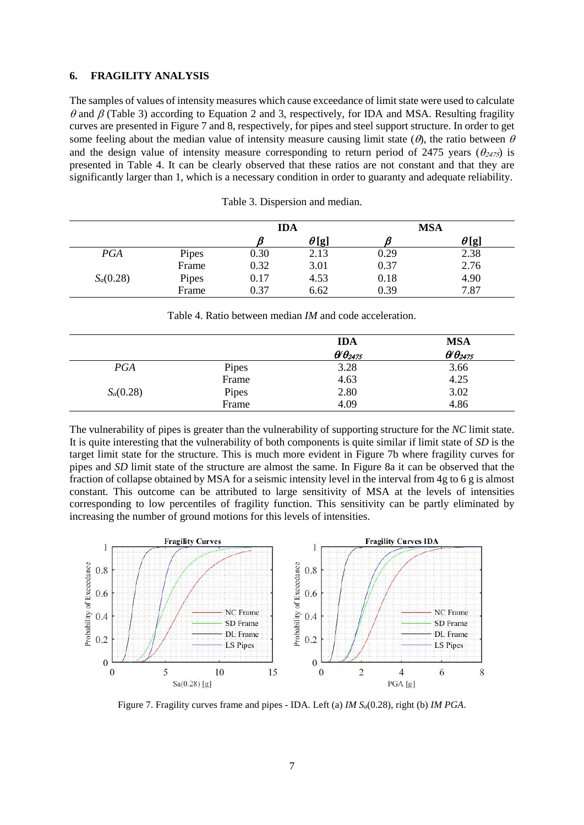# **6. FRAGILITY ANALYSIS**

The samples of values of intensity measures which cause exceedance of limit state were used to calculate θ and β (Table 3) according to Equation 2 and 3, respectively, for IDA and MSA. Resulting fragility curves are presented in Figure 7 and 8, respectively, for pipes and steel support structure. In order to get some feeling about the median value of intensity measure causing limit state  $(\theta)$ , the ratio between  $\theta$ and the design value of intensity measure corresponding to return period of 2475 years ( $\theta_{2475}$ ) is presented in Table 4. It can be clearly observed that these ratios are not constant and that they are significantly larger than 1, which is a necessary condition in order to guaranty and adequate reliability.

|             |       | <b>IDA</b> |              | <b>MSA</b> |              |
|-------------|-------|------------|--------------|------------|--------------|
|             |       |            | $\theta$ [g] |            | $\theta$ [g] |
| PGA         | Pipes | 0.30       | 2.13         | 0.29       | 2.38         |
|             | Frame | 0.32       | 3.01         | 0.37       | 2.76         |
| $S_a(0.28)$ | Pipes | 0.17       | 4.53         | 0.18       | 4.90         |
|             | Frame | 0.37       | 6.62         | 0.39       | 7.87         |

Table 3. Dispersion and median.

Table 4. Ratio between median *IM* and code acceleration.

|             |       | <b>IDA</b>             | <b>MSA</b>                        |
|-------------|-------|------------------------|-----------------------------------|
|             |       | $\theta \theta_{2475}$ | $\theta$ $\theta$ <sub>2475</sub> |
| <b>PGA</b>  | Pipes | 3.28                   | 3.66                              |
|             | Frame | 4.63                   | 4.25                              |
| $S_a(0.28)$ | Pipes | 2.80                   | 3.02                              |
|             | Frame | 4.09                   | 4.86                              |

The vulnerability of pipes is greater than the vulnerability of supporting structure for the *NC* limit state. It is quite interesting that the vulnerability of both components is quite similar if limit state of *SD* is the target limit state for the structure. This is much more evident in Figure 7b where fragility curves for pipes and *SD* limit state of the structure are almost the same. In Figure 8a it can be observed that the fraction of collapse obtained by MSA for a seismic intensity level in the interval from 4g to 6 g is almost constant. This outcome can be attributed to large sensitivity of MSA at the levels of intensities corresponding to low percentiles of fragility function. This sensitivity can be partly eliminated by increasing the number of ground motions for this levels of intensities.



Figure 7. Fragility curves frame and pipes - IDA. Left (a) *IM Sa*(0.28), right (b) *IM PGA*.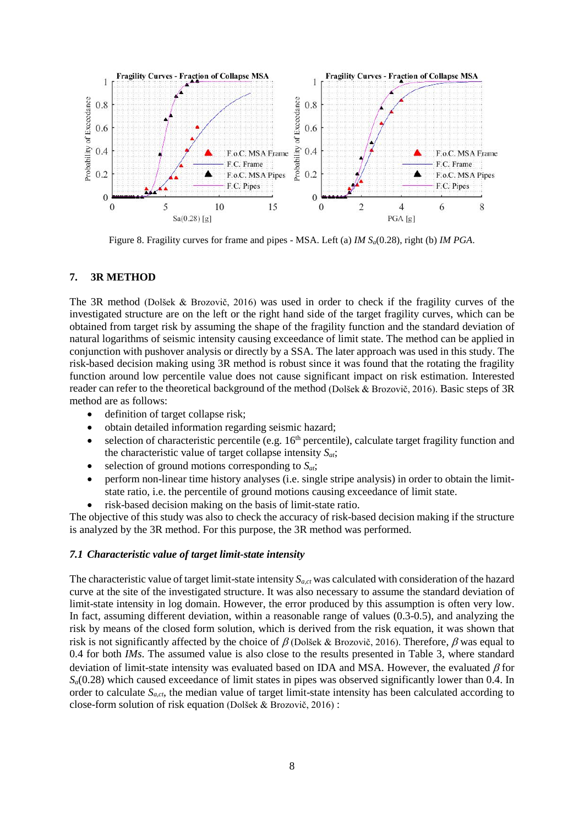

Figure 8. Fragility curves for frame and pipes - MSA. Left (a) *IM Sa*(0.28), right (b) *IM PGA*.

# **7. 3R METHOD**

The 3R method (Dolšek & Brozovič, 2016) was used in order to check if the fragility curves of the investigated structure are on the left or the right hand side of the target fragility curves, which can be obtained from target risk by assuming the shape of the fragility function and the standard deviation of natural logarithms of seismic intensity causing exceedance of limit state. The method can be applied in conjunction with pushover analysis or directly by a SSA. The later approach was used in this study. The risk-based decision making using 3R method is robust since it was found that the rotating the fragility function around low percentile value does not cause significant impact on risk estimation. Interested reader can refer to the theoretical background of the method (Dolšek & Brozovič, 2016). Basic steps of 3R method are as follows:

- definition of target collapse risk:
- obtain detailed information regarding seismic hazard;
- selection of characteristic percentile (e.g.  $16<sup>th</sup>$  percentile), calculate target fragility function and the characteristic value of target collapse intensity  $S_{at}$ ;
- selection of ground motions corresponding to  $S_{at}$ ;
- perform non-linear time history analyses (i.e. single stripe analysis) in order to obtain the limitstate ratio, i.e. the percentile of ground motions causing exceedance of limit state.
- risk-based decision making on the basis of limit-state ratio.

The objective of this study was also to check the accuracy of risk-based decision making if the structure is analyzed by the 3R method. For this purpose, the 3R method was performed.

# *7.1 Characteristic value of target limit-state intensity*

The characteristic value of target limit-state intensity *Sa,ct* was calculated with consideration of the hazard curve at the site of the investigated structure. It was also necessary to assume the standard deviation of limit-state intensity in log domain. However, the error produced by this assumption is often very low. In fact, assuming different deviation, within a reasonable range of values (0.3-0.5), and analyzing the risk by means of the closed form solution, which is derived from the risk equation, it was shown that risk is not significantly affected by the choice of  $\beta$  (Dolšek & Brozovič, 2016). Therefore,  $\beta$  was equal to 0.4 for both *IMs*. The assumed value is also close to the results presented in Table 3, where standard deviation of limit-state intensity was evaluated based on IDA and MSA. However, the evaluated  $\beta$  for  $S_a(0.28)$  which caused exceedance of limit states in pipes was observed significantly lower than 0.4. In order to calculate  $S_{act}$ , the median value of target limit-state intensity has been calculated according to close-form solution of risk equation (Dolšek & Brozovič, 2016) :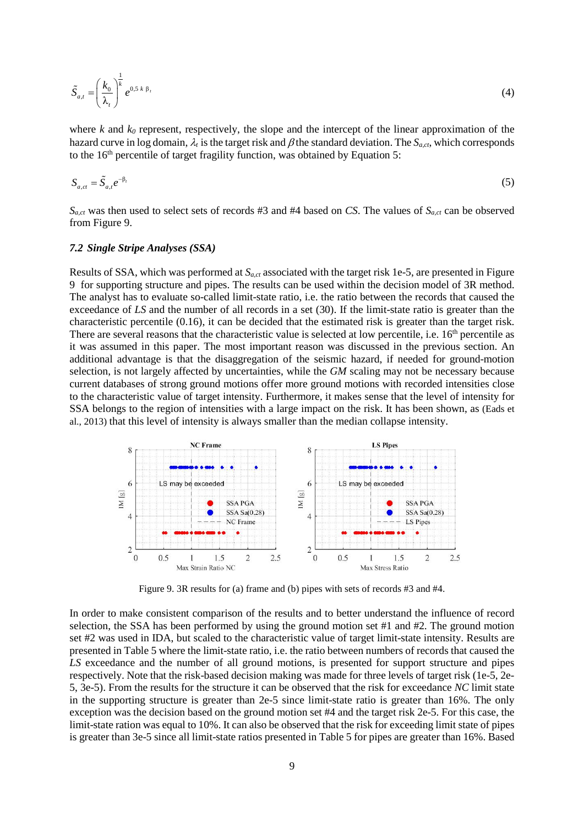$$
\tilde{S}_{a,t} = \left(\frac{k_0}{\lambda_t}\right)^{\frac{1}{k}} e^{0.5 \, k \, \beta_t} \tag{4}
$$

where *k* and  $k_0$  represent, respectively, the slope and the intercept of the linear approximation of the hazard curve in log domain,  $\lambda_t$  is the target risk and  $\beta$  the standard deviation. The  $S_{a,ct}$ , which corresponds to the  $16<sup>th</sup>$  percentile of target fragility function, was obtained by Equation 5:

$$
S_{a,ct} = \tilde{S}_{a,t} e^{-\beta_t} \tag{5}
$$

*Sa,ct* was then used to select sets of records #3 and #4 based on *CS*. The values of *Sa,ct* can be observed from Figure 9.

#### *7.2 Single Stripe Analyses (SSA)*

Results of SSA, which was performed at *Sa,ct* associated with the target risk 1e-5, are presented in Figure 9 for supporting structure and pipes. The results can be used within the decision model of 3R method. The analyst has to evaluate so-called limit-state ratio, i.e. the ratio between the records that caused the exceedance of *LS* and the number of all records in a set (30). If the limit-state ratio is greater than the characteristic percentile (0.16), it can be decided that the estimated risk is greater than the target risk. There are several reasons that the characteristic value is selected at low percentile, i.e.  $16<sup>th</sup>$  percentile as it was assumed in this paper. The most important reason was discussed in the previous section. An additional advantage is that the disaggregation of the seismic hazard, if needed for ground-motion selection, is not largely affected by uncertainties, while the *GM* scaling may not be necessary because current databases of strong ground motions offer more ground motions with recorded intensities close to the characteristic value of target intensity. Furthermore, it makes sense that the level of intensity for SSA belongs to the region of intensities with a large impact on the risk. It has been shown, as (Eads et al., 2013) that this level of intensity is always smaller than the median collapse intensity.



Figure 9. 3R results for (a) frame and (b) pipes with sets of records #3 and #4.

In order to make consistent comparison of the results and to better understand the influence of record selection, the SSA has been performed by using the ground motion set #1 and #2. The ground motion set #2 was used in IDA, but scaled to the characteristic value of target limit-state intensity. Results are presented in Table 5 where the limit-state ratio, i.e. the ratio between numbers of records that caused the LS exceedance and the number of all ground motions, is presented for support structure and pipes respectively. Note that the risk-based decision making was made for three levels of target risk (1e-5, 2e-5, 3e-5). From the results for the structure it can be observed that the risk for exceedance *NC* limit state in the supporting structure is greater than 2e-5 since limit-state ratio is greater than 16%. The only exception was the decision based on the ground motion set #4 and the target risk 2e-5. For this case, the limit-state ration was equal to 10%. It can also be observed that the risk for exceeding limit state of pipes is greater than 3e-5 since all limit-state ratios presented in Table 5 for pipes are greater than 16%. Based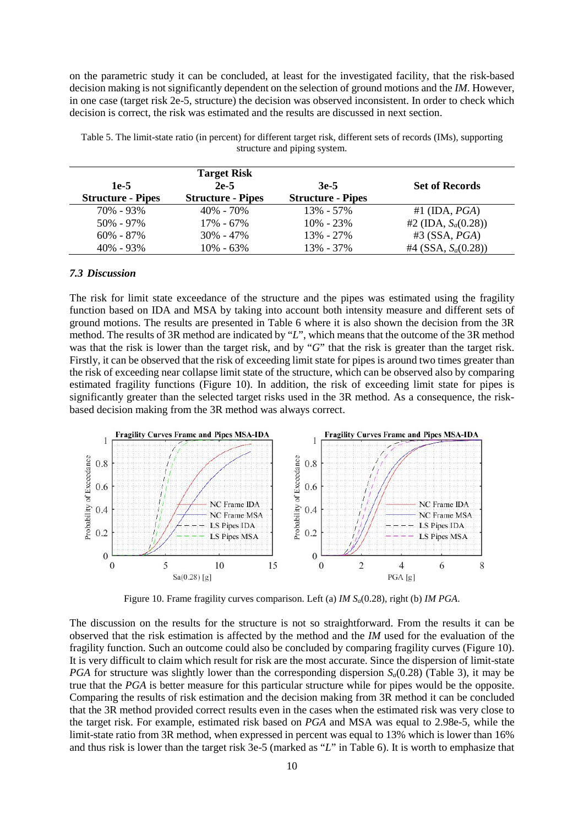on the parametric study it can be concluded, at least for the investigated facility, that the risk-based decision making is not significantly dependent on the selection of ground motions and the *IM*. However, in one case (target risk 2e-5, structure) the decision was observed inconsistent. In order to check which decision is correct, the risk was estimated and the results are discussed in next section.

|                          | <b>Target Risk</b>       |                          |                         |
|--------------------------|--------------------------|--------------------------|-------------------------|
| $1e-5$                   | $2e-5$                   | $3e-5$                   | <b>Set of Records</b>   |
| <b>Structure - Pipes</b> | <b>Structure - Pipes</b> | <b>Structure - Pipes</b> |                         |
| $70\% - 93\%$            | $40\% - 70\%$            | $13\% - 57\%$            | #1 (IDA, $PGA$ )        |
| $50\% - 97\%$            | $17\% - 67\%$            | $10\% - 23\%$            | #2 (IDA, $S_a(0.28)$ )  |
| $60\% - 87\%$            | $30\% - 47\%$            | $13\% - 27\%$            | $#3$ (SSA, <i>PGA</i> ) |
| $40\% - 93\%$            | $10\% - 63\%$            | 13% - 37%                | #4 (SSA, $S_a(0.28)$ )  |

Table 5. The limit-state ratio (in percent) for different target risk, different sets of records (IMs), supporting structure and piping system.

### *7.3 Discussion*

The risk for limit state exceedance of the structure and the pipes was estimated using the fragility function based on IDA and MSA by taking into account both intensity measure and different sets of ground motions. The results are presented in Table 6 where it is also shown the decision from the 3R method. The results of 3R method are indicated by "*L*", which means that the outcome of the 3R method was that the risk is lower than the target risk, and by "*G*" that the risk is greater than the target risk. Firstly, it can be observed that the risk of exceeding limit state for pipes is around two times greater than the risk of exceeding near collapse limit state of the structure, which can be observed also by comparing estimated fragility functions (Figure 10). In addition, the risk of exceeding limit state for pipes is significantly greater than the selected target risks used in the 3R method. As a consequence, the riskbased decision making from the 3R method was always correct.



Figure 10. Frame fragility curves comparison. Left (a) *IM Sa*(0.28), right (b) *IM PGA*.

The discussion on the results for the structure is not so straightforward. From the results it can be observed that the risk estimation is affected by the method and the *IM* used for the evaluation of the fragility function. Such an outcome could also be concluded by comparing fragility curves (Figure 10). It is very difficult to claim which result for risk are the most accurate. Since the dispersion of limit-state *PGA* for structure was slightly lower than the corresponding dispersion  $S_a(0.28)$  (Table 3), it may be true that the *PGA* is better measure for this particular structure while for pipes would be the opposite. Comparing the results of risk estimation and the decision making from 3R method it can be concluded that the 3R method provided correct results even in the cases when the estimated risk was very close to the target risk. For example, estimated risk based on *PGA* and MSA was equal to 2.98e-5, while the limit-state ratio from 3R method, when expressed in percent was equal to 13% which is lower than 16% and thus risk is lower than the target risk 3e-5 (marked as "*L*" in Table 6). It is worth to emphasize that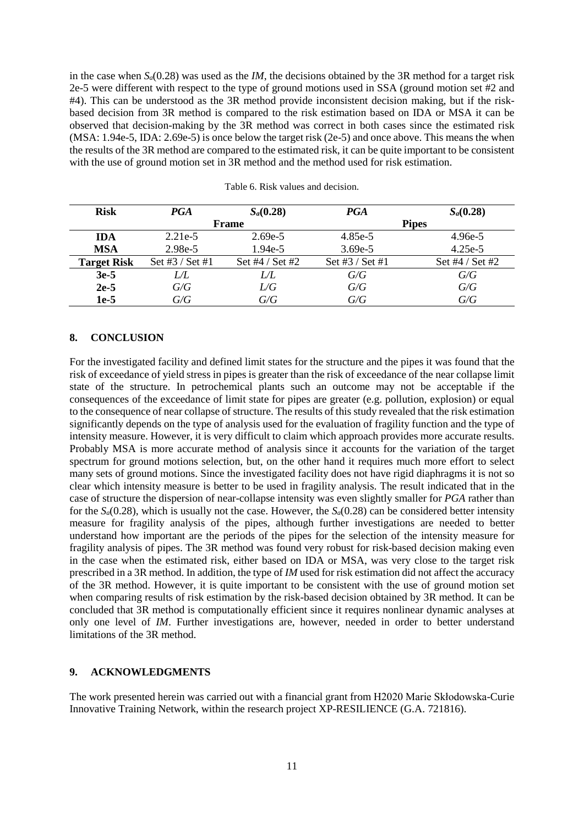in the case when *Sa*(0.28) was used as the *IM*, the decisions obtained by the 3R method for a target risk 2e-5 were different with respect to the type of ground motions used in SSA (ground motion set #2 and #4). This can be understood as the 3R method provide inconsistent decision making, but if the riskbased decision from 3R method is compared to the risk estimation based on IDA or MSA it can be observed that decision-making by the 3R method was correct in both cases since the estimated risk (MSA: 1.94e-5, IDA: 2.69e-5) is once below the target risk (2e-5) and once above. This means the when the results of the 3R method are compared to the estimated risk, it can be quite important to be consistent with the use of ground motion set in 3R method and the method used for risk estimation.

| <b>Risk</b>        | <b>PGA</b>      | $S_a(0.28)$       | PGA             | $S_a(0.28)$       |
|--------------------|-----------------|-------------------|-----------------|-------------------|
|                    | Frame           |                   | <b>Pipes</b>    |                   |
| <b>IDA</b>         | $2.21e-5$       | $2.69e-5$         | 4.85e-5         | $4.96e-5$         |
| <b>MSA</b>         | 2.98e-5         | $1.94e-5$         | 3.69e-5         | $4.25e-5$         |
| <b>Target Risk</b> | Set #3 / Set #1 | Set $#4 / Set #2$ | Set #3 / Set #1 | Set $#4 / Set #2$ |
| $3e-5$             | LЛ              | LÆ                | G/G             | G/G               |
| $2e-5$             | G/G             | L/G               | G/G             | G/G               |
| $1e-5$             | G/G             | G/G               | G/G             | G/G               |

# **8. CONCLUSION**

For the investigated facility and defined limit states for the structure and the pipes it was found that the risk of exceedance of yield stress in pipes is greater than the risk of exceedance of the near collapse limit state of the structure. In petrochemical plants such an outcome may not be acceptable if the consequences of the exceedance of limit state for pipes are greater (e.g. pollution, explosion) or equal to the consequence of near collapse of structure. The results of this study revealed that the risk estimation significantly depends on the type of analysis used for the evaluation of fragility function and the type of intensity measure. However, it is very difficult to claim which approach provides more accurate results. Probably MSA is more accurate method of analysis since it accounts for the variation of the target spectrum for ground motions selection, but, on the other hand it requires much more effort to select many sets of ground motions. Since the investigated facility does not have rigid diaphragms it is not so clear which intensity measure is better to be used in fragility analysis. The result indicated that in the case of structure the dispersion of near-collapse intensity was even slightly smaller for *PGA* rather than for the  $S_a(0.28)$ , which is usually not the case. However, the  $S_a(0.28)$  can be considered better intensity measure for fragility analysis of the pipes, although further investigations are needed to better understand how important are the periods of the pipes for the selection of the intensity measure for fragility analysis of pipes. The 3R method was found very robust for risk-based decision making even in the case when the estimated risk, either based on IDA or MSA, was very close to the target risk prescribed in a 3R method. In addition, the type of *IM* used for risk estimation did not affect the accuracy of the 3R method. However, it is quite important to be consistent with the use of ground motion set when comparing results of risk estimation by the risk-based decision obtained by 3R method. It can be concluded that 3R method is computationally efficient since it requires nonlinear dynamic analyses at only one level of *IM*. Further investigations are, however, needed in order to better understand limitations of the 3R method.

# **9. ACKNOWLEDGMENTS**

The work presented herein was carried out with a financial grant from H2020 Marie Skłodowska-Curie Innovative Training Network, within the research project XP-RESILIENCE (G.A. 721816).